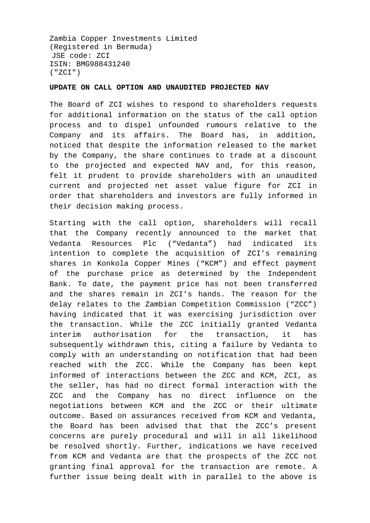Zambia Copper Investments Limited (Registered in Bermuda) JSE code: ZCI ISIN: BMG988431240 ("ZCI")

## **UPDATE ON CALL OPTION AND UNAUDITED PROJECTED NAV**

The Board of ZCI wishes to respond to shareholders requests for additional information on the status of the call option process and to dispel unfounded rumours relative to the Company and its affairs. The Board has, in addition, noticed that despite the information released to the market by the Company, the share continues to trade at a discount to the projected and expected NAV and, for this reason, felt it prudent to provide shareholders with an unaudited current and projected net asset value figure for ZCI in order that shareholders and investors are fully informed in their decision making process.

Starting with the call option, shareholders will recall that the Company recently announced to the market that Vedanta Resources Plc ("Vedanta") had indicated its intention to complete the acquisition of ZCI's remaining shares in Konkola Copper Mines ("KCM") and effect payment of the purchase price as determined by the Independent Bank. To date, the payment price has not been transferred and the shares remain in ZCI's hands. The reason for the delay relates to the Zambian Competition Commission ("ZCC") having indicated that it was exercising jurisdiction over the transaction. While the ZCC initially granted Vedanta interim authorisation for the transaction, it has subsequently withdrawn this, citing a failure by Vedanta to comply with an understanding on notification that had been reached with the ZCC. While the Company has been kept informed of interactions between the ZCC and KCM, ZCI, as the seller, has had no direct formal interaction with the ZCC and the Company has no direct influence on the negotiations between KCM and the ZCC or their ultimate outcome. Based on assurances received from KCM and Vedanta, the Board has been advised that that the ZCC's present concerns are purely procedural and will in all likelihood be resolved shortly. Further, indications we have received from KCM and Vedanta are that the prospects of the ZCC not granting final approval for the transaction are remote. A further issue being dealt with in parallel to the above is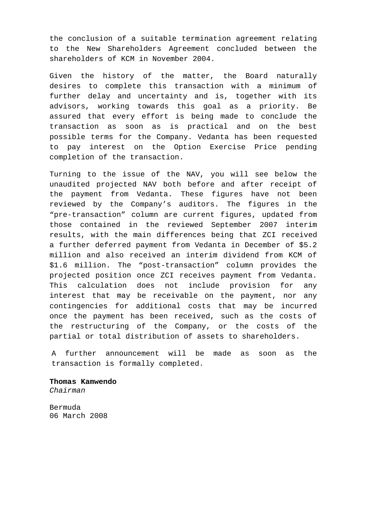the conclusion of a suitable termination agreement relating to the New Shareholders Agreement concluded between the shareholders of KCM in November 2004.

Given the history of the matter, the Board naturally desires to complete this transaction with a minimum of further delay and uncertainty and is, together with its advisors, working towards this goal as a priority. Be assured that every effort is being made to conclude the transaction as soon as is practical and on the best possible terms for the Company. Vedanta has been requested to pay interest on the Option Exercise Price pending completion of the transaction.

Turning to the issue of the NAV, you will see below the unaudited projected NAV both before and after receipt of the payment from Vedanta. These figures have not been reviewed by the Company's auditors. The figures in the "pre-transaction" column are current figures, updated from those contained in the reviewed September 2007 interim results, with the main differences being that ZCI received a further deferred payment from Vedanta in December of \$5.2 million and also received an interim dividend from KCM of \$1.6 million. The "post-transaction" column provides the projected position once ZCI receives payment from Vedanta. This calculation does not include provision for any interest that may be receivable on the payment, nor any contingencies for additional costs that may be incurred once the payment has been received, such as the costs of the restructuring of the Company, or the costs of the partial or total distribution of assets to shareholders.

A further announcement will be made as soon as the transaction is formally completed.

**Thomas Kamwendo**  *Chairman* 

Bermuda 06 March 2008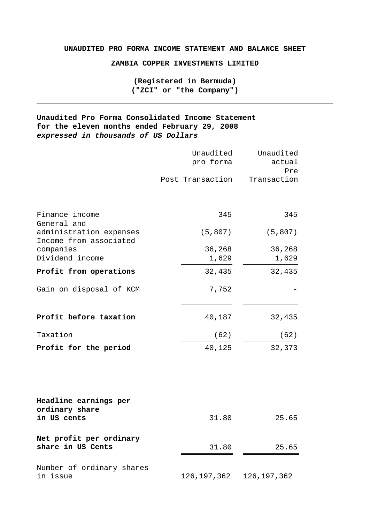## **UNAUDITED PRO FORMA INCOME STATEMENT AND BALANCE SHEET**

**ZAMBIA COPPER INVESTMENTS LIMITED** 

**(Registered in Bermuda) ("ZCI" or "the Company")** 

**Unaudited Pro Forma Consolidated Income Statement for the eleven months ended February 29, 2008**  *expressed in thousands of US Dollars* 

|                                                   | Unaudited<br>pro forma<br>Post Transaction | Unaudited<br>actual<br>Pre<br>Transaction |
|---------------------------------------------------|--------------------------------------------|-------------------------------------------|
| Finance income<br>General and                     | 345                                        | 345                                       |
| administration expenses<br>Income from associated | (5, 807)                                   | (5, 807)                                  |
| companies<br>Dividend income                      | 36,268<br>1,629                            | 36,268<br>1,629                           |
| Profit from operations                            | 32,435                                     | 32,435                                    |
| Gain on disposal of KCM                           | 7,752                                      |                                           |
| Profit before taxation                            | 40,187                                     | 32,435                                    |
| Taxation                                          | (62)                                       | (62)                                      |
| Profit for the period                             | 40,125                                     | 32,373                                    |
| Headline earnings per<br>ordinary share           |                                            |                                           |
| in US cents                                       | 31.80                                      | 25.65                                     |
| Net profit per ordinary<br>share in US Cents      | 31.80                                      | 25.65                                     |
| Number of ordinary shares<br>in issue             | 126, 197, 362                              | 126, 197, 362                             |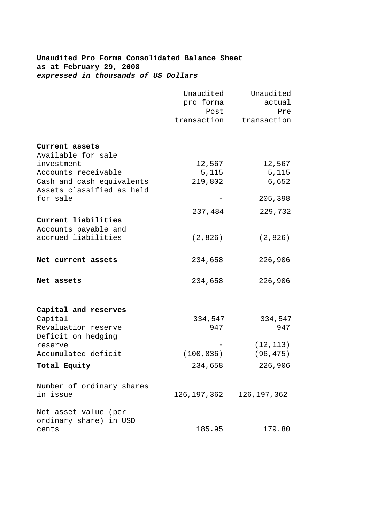# **Unaudited Pro Forma Consolidated Balance Sheet as at February 29, 2008**  *expressed in thousands of US Dollars*

|                           | Unaudited   | Unaudited                   |
|---------------------------|-------------|-----------------------------|
|                           | pro forma   | actual                      |
|                           | Post        | Pre                         |
|                           | transaction | transaction                 |
| Current assets            |             |                             |
| Available for sale        |             |                             |
| investment                | 12,567      | 12,567                      |
| Accounts receivable       | 5,115       | 5,115                       |
| Cash and cash equivalents | 219,802     | 6,652                       |
| Assets classified as held |             |                             |
| for sale                  |             | 205,398                     |
|                           | 237,484     | 229,732                     |
| Current liabilities       |             |                             |
| Accounts payable and      |             |                             |
| accrued liabilities       | (2,826)     | (2,826)                     |
|                           |             |                             |
| Net current assets        | 234,658     | 226,906                     |
|                           |             |                             |
| Net assets                | 234,658     | 226,906                     |
|                           |             |                             |
| Capital and reserves      |             |                             |
| Capital                   | 334,547     | 334,547                     |
| Revaluation reserve       | 947         | 947                         |
| Deficit on hedging        |             |                             |
| reserve                   |             | (12, 113)                   |
| Accumulated deficit       | (100, 836)  | (96, 475)                   |
| Total Equity              | 234,658     | 226,906                     |
| Number of ordinary shares |             |                             |
| in issue                  |             | 126, 197, 362 126, 197, 362 |
| Net asset value (per      |             |                             |
| ordinary share) in USD    |             |                             |
| cents                     | 185.95      | 179.80                      |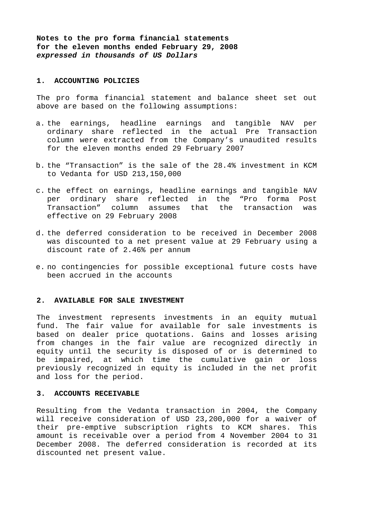**Notes to the pro forma financial statements for the eleven months ended February 29, 2008** *expressed in thousands of US Dollars*

#### **1. ACCOUNTING POLICIES**

The pro forma financial statement and balance sheet set out above are based on the following assumptions:

- a. the earnings, headline earnings and tangible NAV per ordinary share reflected in the actual Pre Transaction column were extracted from the Company's unaudited results for the eleven months ended 29 February 2007
- b. the "Transaction" is the sale of the 28.4% investment in KCM to Vedanta for USD 213,150,000
- c. the effect on earnings, headline earnings and tangible NAV per ordinary share reflected in the "Pro forma Post Transaction" column assumes that the transaction was effective on 29 February 2008
- d. the deferred consideration to be received in December 2008 was discounted to a net present value at 29 February using a discount rate of 2.46% per annum
- e. no contingencies for possible exceptional future costs have been accrued in the accounts

## **2. AVAILABLE FOR SALE INVESTMENT**

The investment represents investments in an equity mutual fund. The fair value for available for sale investments is based on dealer price quotations. Gains and losses arising from changes in the fair value are recognized directly in equity until the security is disposed of or is determined to be impaired, at which time the cumulative gain or loss previously recognized in equity is included in the net profit and loss for the period.

#### **3. ACCOUNTS RECEIVABLE**

Resulting from the Vedanta transaction in 2004, the Company will receive consideration of USD 23,200,000 for a waiver of their pre-emptive subscription rights to KCM shares. This amount is receivable over a period from 4 November 2004 to 31 December 2008. The deferred consideration is recorded at its discounted net present value.